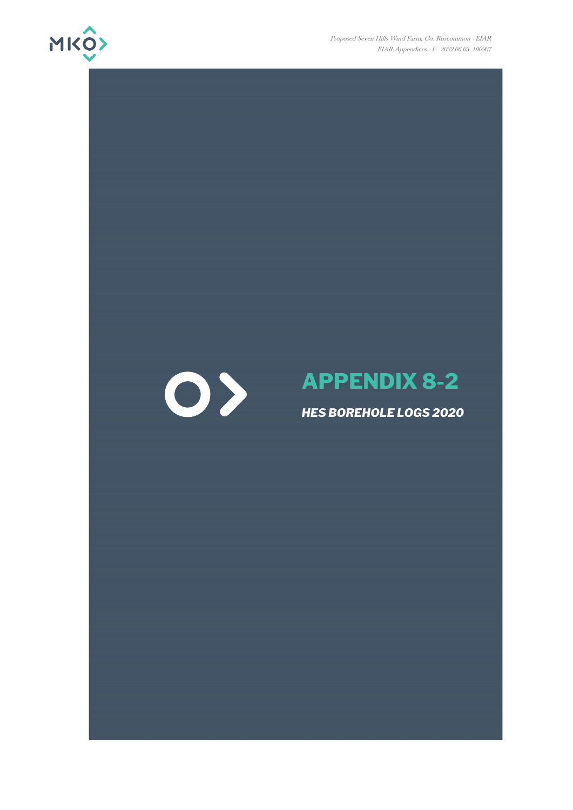

Proposed Seven Hills Wind Farm, Co. Roscommon - EIAR EIAR Appendices - F - 2022.06.03- 190907

## $\bigcirc$

## **APPENDIX 8-2**

## *HES BOREHOLE LOGS 2020*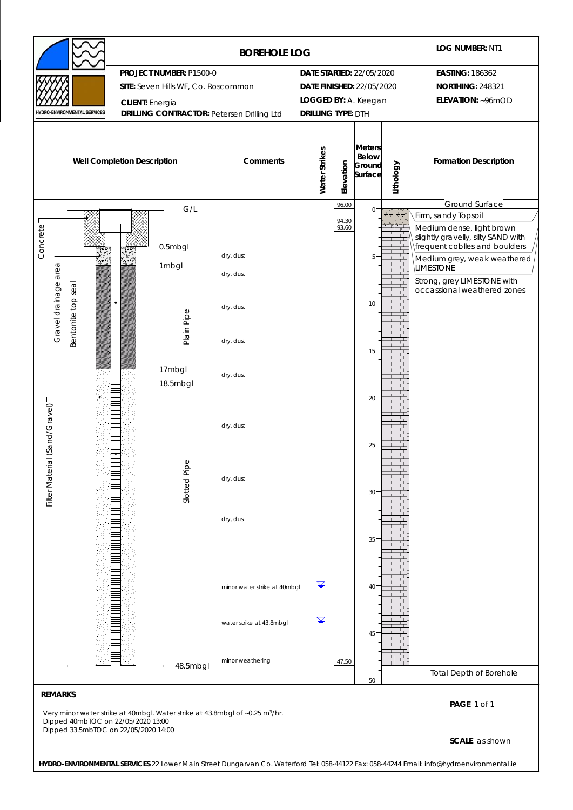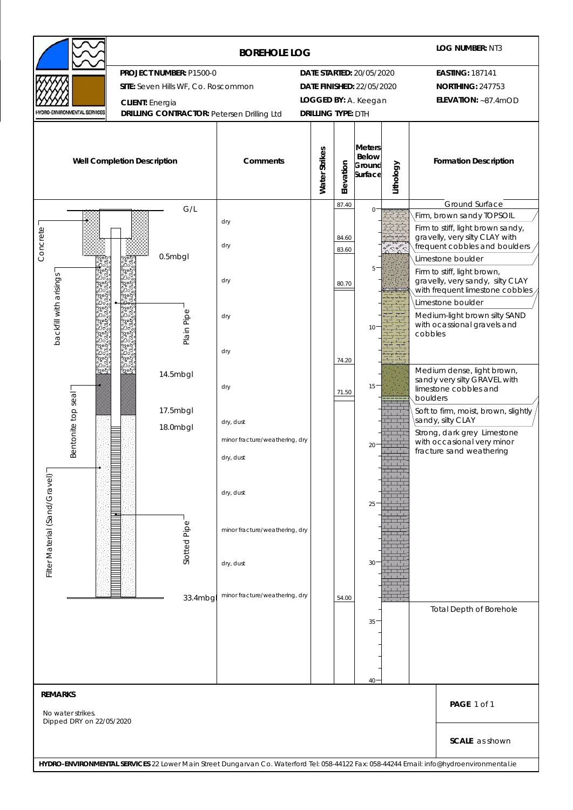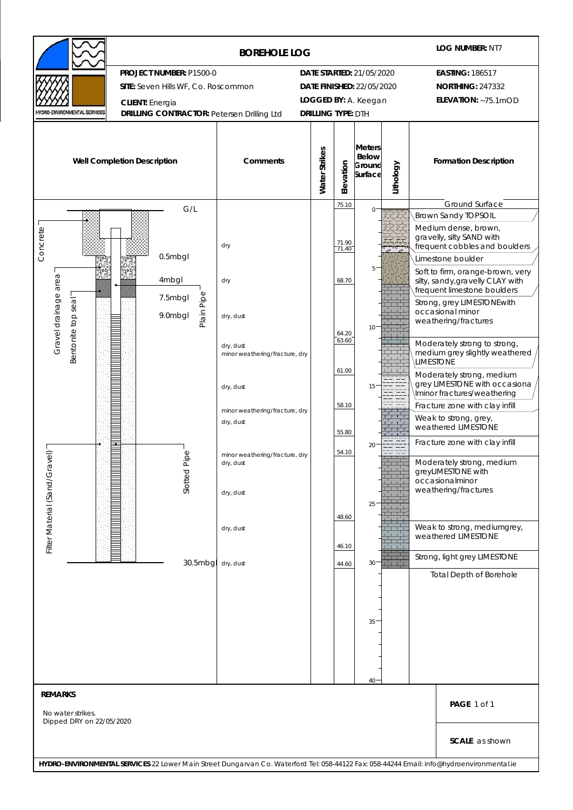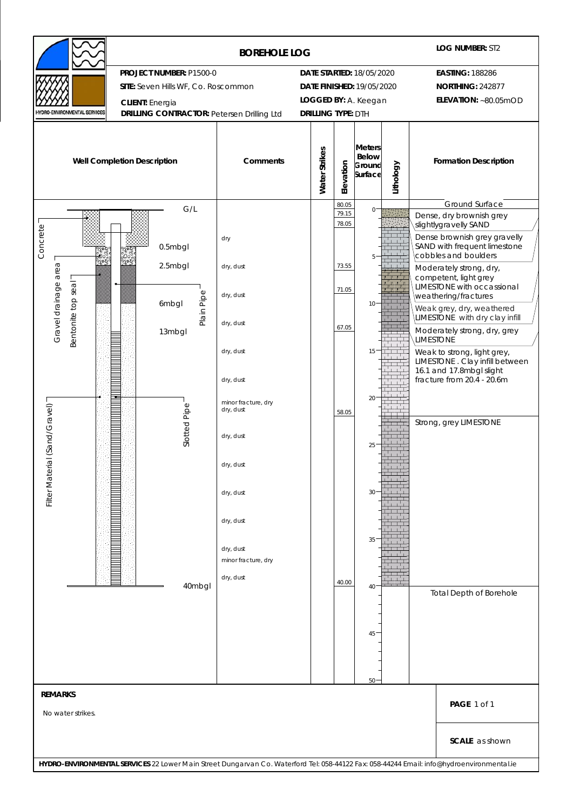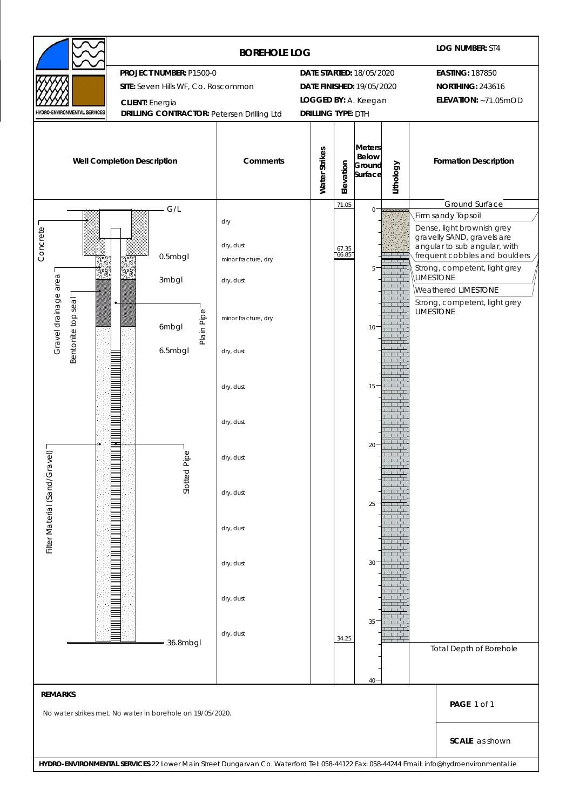